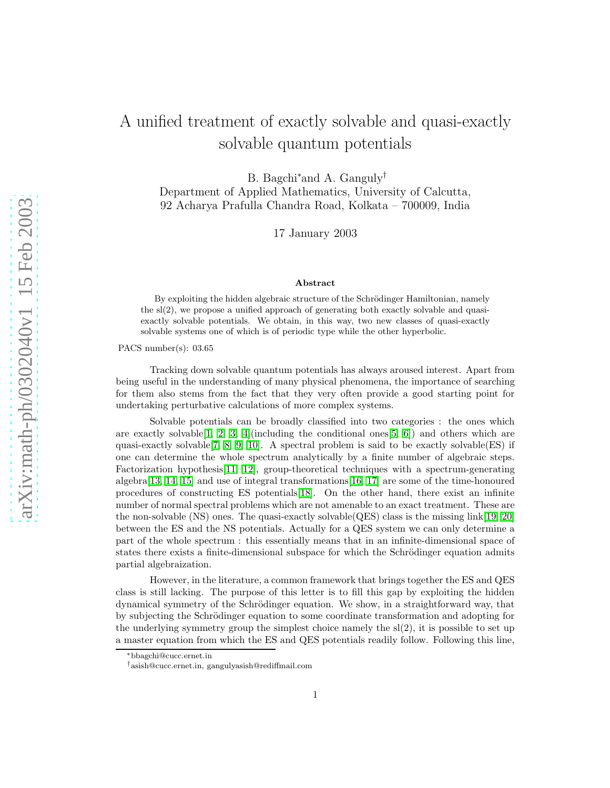# A unified treatment of exactly solvable and quasi-exactly solvable quantum potentials

B. Bagchi<sup>∗</sup>and A. Ganguly†

Department of Applied Mathematics, University of Calcutta, 92 Acharya Prafulla Chandra Road, Kolkata – 700009, India

17 January 2003

#### Abstract

By exploiting the hidden algebraic structure of the Schrödinger Hamiltonian, namely the sl(2), we propose a unified approach of generating both exactly solvable and quasiexactly solvable potentials. We obtain, in this way, two new classes of quasi-exactly solvable systems one of which is of periodic type while the other hyperbolic.

PACS number(s): 03.65

Tracking down solvable quantum potentials has always aroused interest. Apart from being useful in the understanding of many physical phenomena, the importance of searching for them also stems from the fact that they very often provide a good starting point for undertaking perturbative calculations of more complex systems.

Solvable potentials can be broadly classified into two categories : the ones which are exactly solvable  $[1, 2, 3, 4]$  $[1, 2, 3, 4]$  $[1, 2, 3, 4]$  $[1, 2, 3, 4]$  (including the conditional ones  $[5, 6]$  $[5, 6]$ ) and others which are quasi-exactly solvable  $[7, 8, 9, 10]$  $[7, 8, 9, 10]$  $[7, 8, 9, 10]$  $[7, 8, 9, 10]$ . A spectral problem is said to be exactly solvable  $(ES)$  if one can determine the whole spectrum analytically by a finite number of algebraic steps. Factorization hypothesis[\[11,](#page-7-10) [12\]](#page-7-11), group-theoretical techniques with a spectrum-generating algebra[\[13,](#page-7-12) [14,](#page-7-13) [15\]](#page-7-14) and use of integral transformations[\[16,](#page-7-15) [17\]](#page-7-16) are some of the time-honoured procedures of constructing ES potentials[\[18\]](#page-7-17). On the other hand, there exist an infinite number of normal spectral problems which are not amenable to an exact treatment. These are the non-solvable (NS) ones. The quasi-exactly solvable (QES) class is the missing  $link[19, 20]$  $link[19, 20]$  $link[19, 20]$ between the ES and the NS potentials. Actually for a QES system we can only determine a part of the whole spectrum : this essentially means that in an infinite-dimensional space of states there exists a finite-dimensional subspace for which the Schrödinger equation admits partial algebraization.

However, in the literature, a common framework that brings together the ES and QES class is still lacking. The purpose of this letter is to fill this gap by exploiting the hidden dynamical symmetry of the Schrödinger equation. We show, in a straightforward way, that by subjecting the Schrödinger equation to some coordinate transformation and adopting for the underlying symmetry group the simplest choice namely the sl(2), it is possible to set up a master equation from which the ES and QES potentials readily follow. Following this line,

<sup>∗</sup>bbagchi@cucc.ernet.in

<sup>†</sup>asish@cucc.ernet.in, gangulyasish@rediffmail.com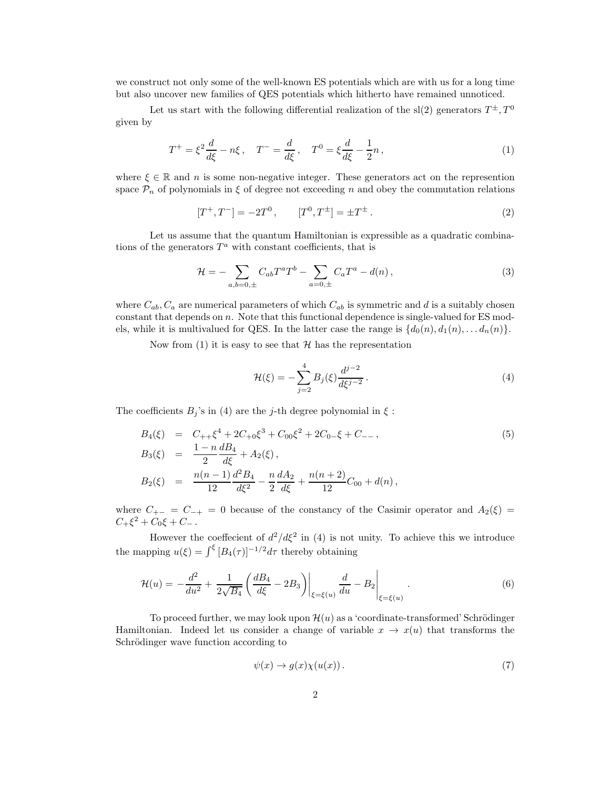we construct not only some of the well-known ES potentials which are with us for a long time but also uncover new families of QES potentials which hitherto have remained unnoticed.

Let us start with the following differential realization of the sl(2) generators  $T^{\pm}$ ,  $T^0$ given by

$$
T^{+} = \xi^{2} \frac{d}{d\xi} - n\xi \,, \quad T^{-} = \frac{d}{d\xi} \,, \quad T^{0} = \xi \frac{d}{d\xi} - \frac{1}{2}n \,, \tag{1}
$$

where  $\xi \in \mathbb{R}$  and n is some non-negative integer. These generators act on the represention space  $\mathcal{P}_n$  of polynomials in  $\xi$  of degree not exceeding n and obey the commutation relations

$$
[T^+, T^-] = -2T^0, \qquad [T^0, T^{\pm}] = \pm T^{\pm}.
$$
 (2)

Let us assume that the quantum Hamiltonian is expressible as a quadratic combinations of the generators  $T^a$  with constant coefficients, that is

$$
\mathcal{H} = -\sum_{a,b=0,\pm} C_{ab} T^a T^b - \sum_{a=0,\pm} C_a T^a - d(n) \,,\tag{3}
$$

where  $C_{ab}$ ,  $C_a$  are numerical parameters of which  $C_{ab}$  is symmetric and d is a suitably chosen constant that depends on n. Note that this functional dependence is single-valued for ES models, while it is multivalued for QES. In the latter case the range is  $\{d_0(n), d_1(n), \ldots, d_n(n)\}.$ 

Now from (1) it is easy to see that  $H$  has the representation

$$
\mathcal{H}(\xi) = -\sum_{j=2}^{4} B_j(\xi) \frac{d^{j-2}}{d\xi^{j-2}}.
$$
\n(4)

The coefficients  $B_j$ 's in (4) are the j-th degree polynomial in  $\xi$ :

$$
B_4(\xi) = C_{++} \xi^4 + 2C_{+0} \xi^3 + C_{00} \xi^2 + 2C_{0-} \xi + C_{--},
$$
  
\n
$$
B_3(\xi) = \frac{1 - n}{2} \frac{dB_4}{d\xi} + A_2(\xi),
$$
  
\n
$$
B_2(\xi) = \frac{n(n-1)}{12} \frac{d^2 B_4}{d\xi^2} - \frac{n}{2} \frac{dA_2}{d\xi} + \frac{n(n+2)}{12} C_{00} + d(n),
$$
\n(5)

where  $C_{+-} = C_{-+} = 0$  because of the constancy of the Casimir operator and  $A_2(\xi)$  $C_+\xi^2 + C_0\xi + C_-\,.$ 

However the coeffecient of  $d^2/d\xi^2$  in (4) is not unity. To achieve this we introduce the mapping  $u(\xi) = \int_{\xi}^{\xi} [B_4(\tau)]^{-1/2} d\tau$  thereby obtaining

$$
\mathcal{H}(u) = -\frac{d^2}{du^2} + \frac{1}{2\sqrt{B_4}} \left( \frac{dB_4}{d\xi} - 2B_3 \right) \bigg|_{\xi = \xi(u)} \frac{d}{du} - B_2 \bigg|_{\xi = \xi(u)} . \tag{6}
$$

To proceed further, we may look upon  $\mathcal{H}(u)$  as a 'coordinate-transformed' Schrödinger Hamiltonian. Indeed let us consider a change of variable  $x \to x(u)$  that transforms the Schrödinger wave function according to

$$
\psi(x) \to g(x)\chi(u(x)). \tag{7}
$$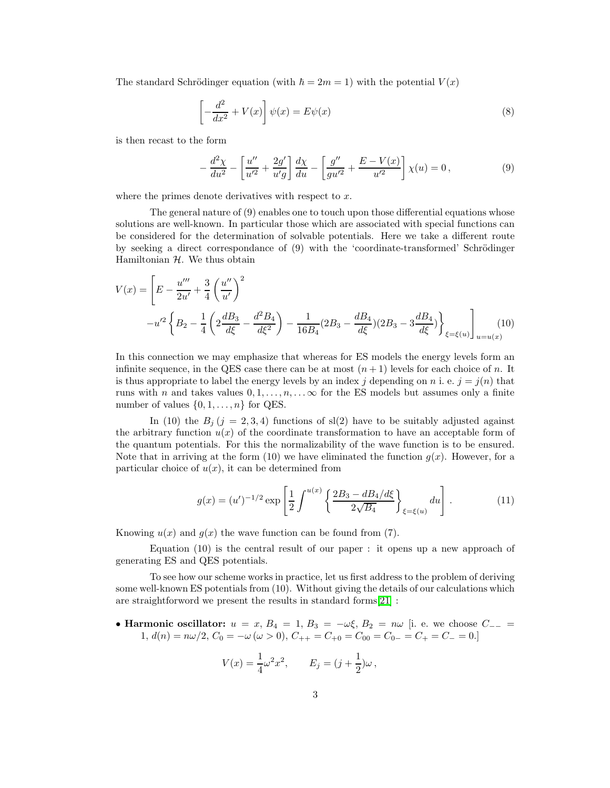The standard Schrödinger equation (with  $\hbar = 2m = 1$ ) with the potential  $V(x)$ 

$$
\left[-\frac{d^2}{dx^2} + V(x)\right]\psi(x) = E\psi(x)
$$
\n(8)

is then recast to the form

$$
-\frac{d^2\chi}{du^2} - \left[\frac{u''}{u'^2} + \frac{2g'}{u'g}\right]\frac{d\chi}{du} - \left[\frac{g''}{gu'^2} + \frac{E - V(x)}{u'^2}\right]\chi(u) = 0, \tag{9}
$$

where the primes denote derivatives with respect to  $x$ .

The general nature of (9) enables one to touch upon those differential equations whose solutions are well-known. In particular those which are associated with special functions can be considered for the determination of solvable potentials. Here we take a different route by seeking a direct correspondance of (9) with the 'coordinate-transformed' Schrödinger Hamiltonian  $H$ . We thus obtain

$$
V(x) = \left[ E - \frac{u'''}{2u'} + \frac{3}{4} \left( \frac{u''}{u'} \right)^2 - u'^2 \left\{ B_2 - \frac{1}{4} \left( 2 \frac{dB_3}{d\xi} - \frac{d^2 B_4}{d\xi^2} \right) - \frac{1}{16B_4} (2B_3 - \frac{dB_4}{d\xi}) (2B_3 - 3 \frac{dB_4}{d\xi}) \right\}_{\xi = \xi(u)} \right]_{u = u(x)} (10)
$$

In this connection we may emphasize that whereas for ES models the energy levels form an infinite sequence, in the QES case there can be at most  $(n+1)$  levels for each choice of n. It is thus appropriate to label the energy levels by an index j depending on n i. e.  $j = j(n)$  that runs with n and takes values  $0, 1, \ldots, n, \ldots$  of the ES models but assumes only a finite number of values  $\{0, 1, \ldots, n\}$  for QES.

In (10) the  $B_j$  (j = 2, 3, 4) functions of sl(2) have to be suitably adjusted against the arbitrary function  $u(x)$  of the coordinate transformation to have an acceptable form of the quantum potentials. For this the normalizability of the wave function is to be ensured. Note that in arriving at the form (10) we have eliminated the function  $q(x)$ . However, for a particular choice of  $u(x)$ , it can be determined from

$$
g(x) = (u')^{-1/2} \exp\left[\frac{1}{2} \int^{u(x)} \left\{ \frac{2B_3 - dB_4/d\xi}{2\sqrt{B_4}} \right\}_{\xi = \xi(u)} du\right].
$$
 (11)

Knowing  $u(x)$  and  $q(x)$  the wave function can be found from (7).

Equation (10) is the central result of our paper : it opens up a new approach of generating ES and QES potentials.

To see how our scheme works in practice, let us first address to the problem of deriving some well-known ES potentials from (10). Without giving the details of our calculations which are straightforword we present the results in standard forms[\[21\]](#page-7-20) :

• Harmonic oscillator:  $u = x$ ,  $B_4 = 1$ ,  $B_3 = -\omega \xi$ ,  $B_2 = n\omega$  [i. e. we choose  $C_{--} =$ 1,  $d(n) = n\omega/2$ ,  $C_0 = -\omega (\omega > 0)$ ,  $C_{++} = C_{+0} = C_{00} = C_{0-} = C_{+} = C_{-} = 0$ .

$$
V(x) = \frac{1}{4}\omega^2 x^2, \qquad E_j = (j + \frac{1}{2})\omega \,,
$$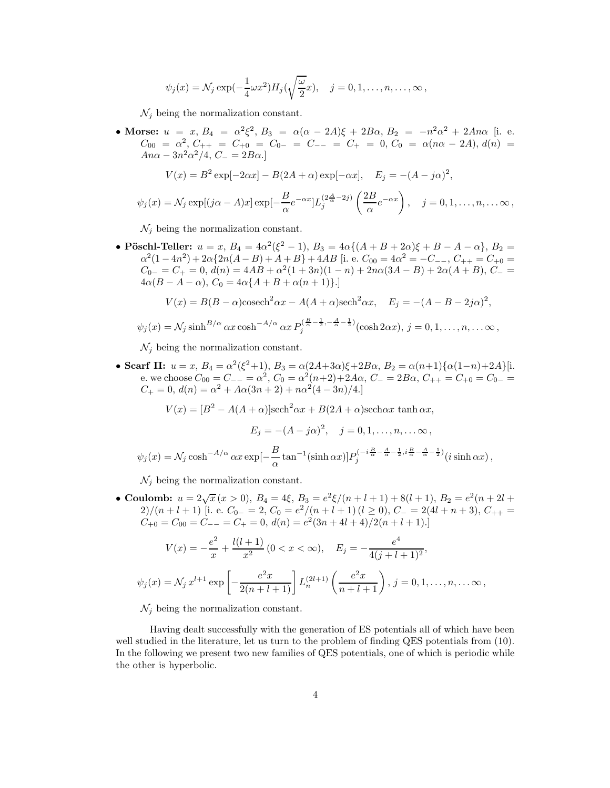$$
\psi_j(x) = \mathcal{N}_j \exp(-\frac{1}{4}\omega x^2) H_j(\sqrt{\frac{\omega}{2}}x), \quad j = 0, 1, \dots, n, \dots, \infty,
$$

 $\mathcal{N}_j$  being the normalization constant.

• Morse:  $u = x, B_4 = \alpha^2 \xi^2, B_3 = \alpha (\alpha - 2A)\xi + 2B\alpha, B_2 = -n^2 \alpha^2 + 2A n \alpha$  [i. e.  $C_{00} = \alpha^2$ ,  $C_{++} = C_{+0} = C_{0-} = C_{--} = C_{+} = 0$ ,  $C_0 = \alpha(n\alpha - 2A)$ ,  $d(n) =$  $An\alpha - 3n^2\alpha^2/4$ ,  $C_- = 2B\alpha$ .]

$$
V(x) = B^{2} \exp[-2\alpha x] - B(2A + \alpha) \exp[-\alpha x], \quad E_{j} = -(A - j\alpha)^{2},
$$

$$
\psi_j(x) = \mathcal{N}_j \exp[(j\alpha - A)x] \exp[-\frac{B}{\alpha}e^{-\alpha x}]L_j^{(2\frac{A}{\alpha} - 2j)}\left(\frac{2B}{\alpha}e^{-\alpha x}\right), \quad j = 0, 1, \dots, n, \dots \infty,
$$

 $\mathcal{N}_i$  being the normalization constant.

• Pöschl-Teller:  $u = x$ ,  $B_4 = 4\alpha^2(\xi^2 - 1)$ ,  $B_3 = 4\alpha\{(A + B + 2\alpha)\xi + B - A - \alpha\}$ ,  $B_2 =$  $\alpha^2(1-4n^2) + 2\alpha\{2n(A-B) + A+B\} + 4AB$  [i. e.  $C_{00} = 4\alpha^2 = -C_{--}, C_{++} = C_{+0} =$  $C_{0-} = C_+ = 0, d(n) = 4AB + \alpha^2(1+3n)(1-n) + 2n\alpha(3A - B) + 2\alpha(A + B), C_- =$  $4\alpha(B - A - \alpha), C_0 = 4\alpha\{A + B + \alpha(n + 1)\}.$ 

$$
V(x) = B(B - \alpha)\operatorname{cosech}^2 \alpha x - A(A + \alpha)\operatorname{sech}^2 \alpha x, \quad E_j = -(A - B - 2j\alpha)^2,
$$

$$
\psi_j(x) = \mathcal{N}_j \sinh^{B/\alpha} \alpha x \cosh^{-A/\alpha} \alpha x P_j^{\left(\frac{B}{\alpha}-\frac{1}{2},-\frac{A}{\alpha}-\frac{1}{2}\right)}(\cosh 2\alpha x), \ j = 0, 1, \ldots, n, \ldots \infty,
$$

 $\mathcal{N}_j$  being the normalization constant.

• Scarf II:  $u = x$ ,  $B_4 = \alpha^2(\xi^2 + 1)$ ,  $B_3 = \alpha(2A + 3\alpha)\xi + 2B\alpha$ ,  $B_2 = \alpha(n+1)\{\alpha(1-n)+2A\}$ [i. e. we choose  $C_{00} = C_{--} = \alpha^2$ ,  $C_0 = \alpha^2(n+2)+2A\alpha$ ,  $C_-=2B\alpha$ ,  $C_{++} = C_{+0} = C_{0-}$  $C_+ = 0, d(n) = \alpha^2 + A\alpha(3n + 2) + n\alpha^2(4 - 3n)/4.$ 

 $V(x) = [B^2 - A(A + \alpha)]\text{sech}^2\alpha x + B(2A + \alpha)\text{sech}\alpha x \tanh \alpha x,$ 

$$
E_j = -(A - j\alpha)^2, \quad j = 0, 1, ..., n, ... \infty,
$$

$$
\psi_j(x) = \mathcal{N}_j \cosh^{-A/\alpha} \alpha x \exp[-\frac{B}{\alpha} \tan^{-1}(\sinh \alpha x)] P_j^{(-i\frac{B}{\alpha} - \frac{A}{\alpha} - \frac{1}{2}, i\frac{B}{\alpha} - \frac{A}{\alpha} - \frac{1}{2})}(i \sinh \alpha x),
$$

 $\mathcal{N}_j$  being the normalization constant.

• Coulomb:  $u = 2\sqrt{x} (x > 0), B_4 = 4\xi, B_3 = e^2\xi/(n+l+1) + 8(l+1), B_2 = e^2(n+2l+1)$ 2)/(n + l + 1) [i. e.  $C_{0-} = 2$ ,  $C_0 = e^2/(n+l+1)$  (l ≥ 0),  $C_- = 2(4l+n+3)$ ,  $C_{++} =$  $C_{+0} = C_{00} = C_{--} = C_{+} = 0, d(n) = e^{2}(3n + 4l + 4)/2(n + l + 1).$ 

$$
V(x) = -\frac{e^2}{x} + \frac{l(l+1)}{x^2} (0 < x < \infty), \quad E_j = -\frac{e^4}{4(j+l+1)^2},
$$
  

$$
\psi_j(x) = \mathcal{N}_j x^{l+1} \exp\left[-\frac{e^2 x}{2(n+l+1)}\right] L_n^{(2l+1)}\left(\frac{e^2 x}{n+l+1}\right), j = 0, 1, \dots, n, \dots \infty,
$$

 $\mathcal{N}_j$  being the normalization constant.

Having dealt successfully with the generation of ES potentials all of which have been well studied in the literature, let us turn to the problem of finding QES potentials from (10). In the following we present two new families of QES potentials, one of which is periodic while the other is hyperbolic.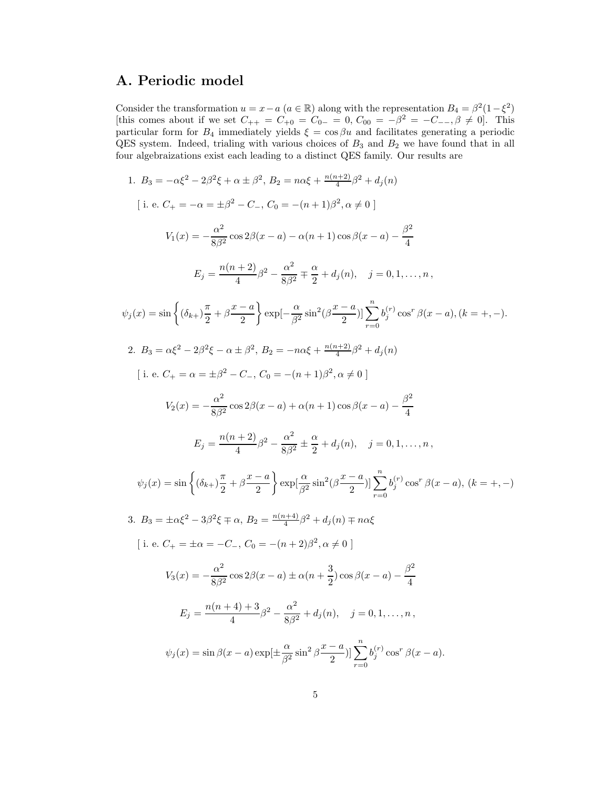## A. Periodic model

Consider the transformation  $u = x - a$   $(a \in \mathbb{R})$  along with the representation  $B_4 = \beta^2 (1 - \xi^2)$ [this comes about if we set  $C_{++} = C_{+0} = C_{0-} = 0$ ,  $C_{00} = -\beta^2 = -C_{--}, \beta \neq 0$ ]. This particular form for  $B_4$  immediately yields  $\xi = \cos \beta u$  and facilitates generating a periodic QES system. Indeed, trialing with various choices of  $B_3$  and  $B_2$  we have found that in all four algebraizations exist each leading to a distinct QES family. Our results are

1. 
$$
B_3 = -\alpha \xi^2 - 2\beta^2 \xi + \alpha \pm \beta^2
$$
,  $B_2 = n\alpha \xi + \frac{n(n+2)}{4}\beta^2 + d_j(n)$   
\n[ i. e.  $C_+ = -\alpha = \pm \beta^2 - C_-, C_0 = -(n+1)\beta^2, \alpha \neq 0$ ]  
\n $V_1(x) = -\frac{\alpha^2}{8\beta^2} \cos 2\beta(x - a) - \alpha(n+1)\cos \beta(x - a) - \frac{\beta^2}{4}$   
\n $E_j = \frac{n(n+2)}{4}\beta^2 - \frac{\alpha^2}{8\beta^2} \mp \frac{\alpha}{2} + d_j(n), \quad j = 0, 1, ..., n$ ,  
\n $\psi_j(x) = \sin\left\{(\delta_{k+1}\frac{\pi}{2} + \beta \frac{x - a}{2}\right\} \exp[-\frac{\alpha}{\beta^2} \sin^2(\beta \frac{x - a}{2})] \sum_{r=0}^n b_j^{(r)} \cos^r \beta(x - a), (k = +, -).$   
\n2.  $B_3 = \alpha \xi^2 - 2\beta^2 \xi - \alpha \pm \beta^2$ ,  $B_2 = -n\alpha \xi + \frac{n(n+2)}{4}\beta^2 + d_j(n)$   
\n[ i. e.  $C_+ = \alpha = \pm \beta^2 - C_-, C_0 = -(n+1)\beta^2, \alpha \neq 0$ ]  
\n $V_2(x) = -\frac{\alpha^2}{8\beta^2} \cos 2\beta(x - a) + \alpha(n+1) \cos \beta(x - a) - \frac{\beta^2}{4}$   
\n $E_j = \frac{n(n+2)}{4}\beta^2 - \frac{\alpha^2}{8\beta^2} \pm \frac{\alpha}{2} + d_j(n), \quad j = 0, 1, ..., n$ ,  
\n $\psi_j(x) = \sin\left\{(\delta_{k+1}\frac{\pi}{2} + \beta \frac{x - a}{2}\right) \exp[\frac{\alpha}{\beta^2} \sin^2(\beta \frac{x - a}{2})] \sum_{r=0}^n b_j^{(r)} \cos^r \beta(x - a), (k = +, -)$   
\n3.  $B_3 = \pm \alpha \xi^2 - 3\beta^2 \xi \mp \alpha, B_2 = \frac{n(n+4)}{4}\beta^2 + d_j(n) \mp n\alpha$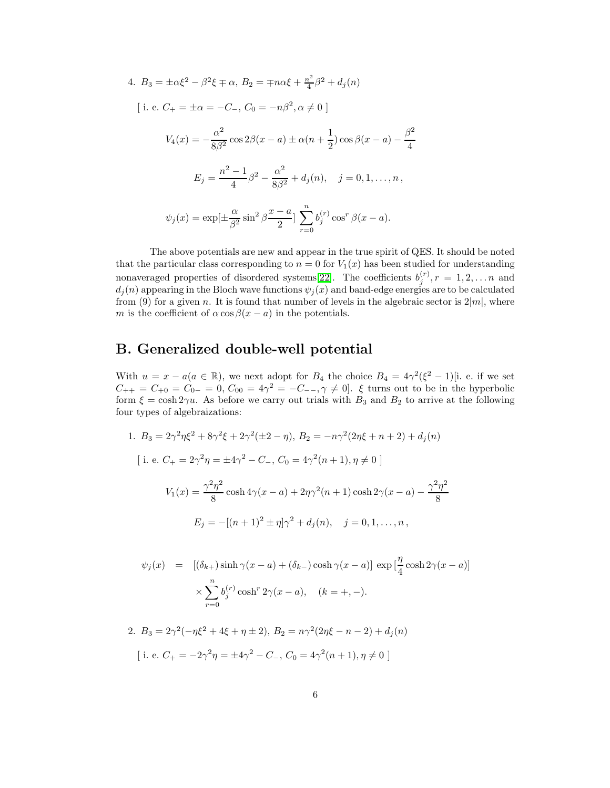4. 
$$
B_3 = \pm \alpha \xi^2 - \beta^2 \xi \mp \alpha
$$
,  $B_2 = \mp n \alpha \xi + \frac{n^2}{4} \beta^2 + d_j(n)$   
\n[ i. e.  $C_+ = \pm \alpha = -C_-, C_0 = -n\beta^2, \alpha \neq 0$  ]  
\n $V_4(x) = -\frac{\alpha^2}{8\beta^2} \cos 2\beta(x - a) \pm \alpha(n + \frac{1}{2}) \cos \beta(x - a) - \frac{\beta^2}{4}$   
\n $E_j = \frac{n^2 - 1}{4} \beta^2 - \frac{\alpha^2}{8\beta^2} + d_j(n), \quad j = 0, 1, ..., n,$   
\n $\psi_j(x) = \exp[\pm \frac{\alpha}{\beta^2} \sin^2 \beta \frac{x - a}{2}] \sum_{r=0}^n b_j^{(r)} \cos^r \beta(x - a).$ 

The above potentials are new and appear in the true spirit of QES. It should be noted that the particular class corresponding to  $n = 0$  for  $V_1(x)$  has been studied for understanding nonaveraged properties of disordered systems [\[22\]](#page-7-21). The coefficients  $b_j^{(r)}$ ,  $r = 1, 2, \ldots n$  and  $d_j(n)$  appearing in the Bloch wave functions  $\psi_j(x)$  and band-edge energies are to be calculated from (9) for a given n. It is found that number of levels in the algebraic sector is  $2|m|$ , where m is the coefficient of  $\alpha \cos \beta(x-a)$  in the potentials.

### B. Generalized double-well potential

With  $u = x - a(a \in \mathbb{R})$ , we next adopt for  $B_4$  the choice  $B_4 = 4\gamma^2(\xi^2 - 1)$ [i. e. if we set  $C_{++} = C_{+0} = C_{0-} = 0, C_{00} = 4\gamma^2 = -C_{--}, \gamma \neq 0.$  ξ turns out to be in the hyperbolic form  $\xi = \cosh 2\gamma u$ . As before we carry out trials with  $B_3$  and  $B_2$  to arrive at the following four types of algebraizations:

1. 
$$
B_3 = 2\gamma^2 \eta \xi^2 + 8\gamma^2 \xi + 2\gamma^2 (\pm 2 - \eta), B_2 = -n\gamma^2 (2\eta \xi + n + 2) + d_j(n)
$$
  
\n[ i. e.  $C_+ = 2\gamma^2 \eta = \pm 4\gamma^2 - C_-, C_0 = 4\gamma^2 (n + 1), \eta \neq 0$ ]  
\n $V_1(x) = \frac{\gamma^2 \eta^2}{8} \cosh 4\gamma (x - a) + 2\eta \gamma^2 (n + 1) \cosh 2\gamma (x - a) - \frac{\gamma^2 \eta^2}{8}$   
\n $E_j = -[(n + 1)^2 \pm \eta] \gamma^2 + d_j(n), \quad j = 0, 1, ..., n,$ 

$$
\psi_j(x) = [(\delta_{k+}) \sinh \gamma(x-a) + (\delta_{k-}) \cosh \gamma(x-a)] \exp\left[\frac{\eta}{4} \cosh 2\gamma(x-a)\right]
$$

$$
\times \sum_{r=0}^n b_j^{(r)} \cosh^r 2\gamma(x-a), \quad (k = +, -).
$$

2. 
$$
B_3 = 2\gamma^2(-\eta\xi^2 + 4\xi + \eta \pm 2), B_2 = n\gamma^2(2\eta\xi - n - 2) + d_j(n)
$$
  
\n[i. e.  $C_+ = -2\gamma^2\eta = \pm 4\gamma^2 - C_-, C_0 = 4\gamma^2(n+1), \eta \neq 0$ ]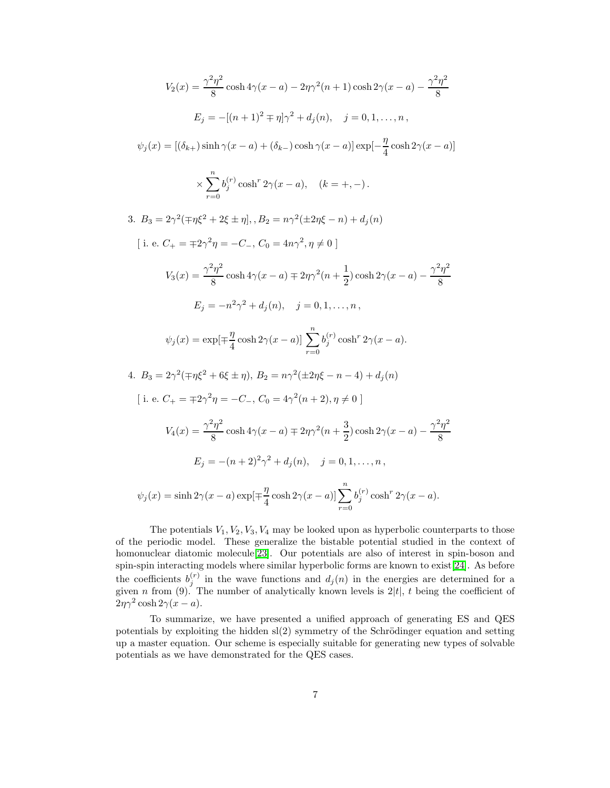$$
V_2(x) = \frac{\gamma^2 \eta^2}{8} \cosh 4\gamma (x - a) - 2\eta \gamma^2 (n + 1) \cosh 2\gamma (x - a) - \frac{\gamma^2 \eta^2}{8}
$$
  
\n
$$
E_j = -[(n + 1)^2 \mp \eta] \gamma^2 + d_j(n), \quad j = 0, 1, ..., n,
$$
  
\n
$$
\psi_j(x) = [(\delta_{k+}) \sinh \gamma (x - a) + (\delta_{k-}) \cosh \gamma (x - a)] \exp[-\frac{\eta}{4} \cosh 2\gamma (x - a)]
$$
  
\n
$$
\times \sum_{r=0}^n b_j^{(r)} \cosh^r 2\gamma (x - a), \quad (k = +, -).
$$
  
\n3.  $B_3 = 2\gamma^2 (\mp \eta \xi^2 + 2\xi \pm \eta], B_2 = n\gamma^2 (\pm 2\eta \xi - n) + d_j(n)$   
\n[i. e.  $C_+ = \mp 2\gamma^2 \eta = -C_-, C_0 = 4n\gamma^2, \eta \neq 0]$   
\n
$$
V_3(x) = \frac{\gamma^2 \eta^2}{8} \cosh 4\gamma (x - a) \mp 2\eta \gamma^2 (n + \frac{1}{2}) \cosh 2\gamma (x - a) - \frac{\gamma^2 \eta^2}{8}
$$
  
\n
$$
E_j = -n^2 \gamma^2 + d_j(n), \quad j = 0, 1, ..., n,
$$
  
\n
$$
\psi_j(x) = \exp[\mp \frac{\eta}{4} \cosh 2\gamma (x - a)] \sum_{r=0}^n b_j^{(r)} \cosh^r 2\gamma (x - a).
$$
  
\n4.  $B_3 = 2\gamma^2 (\mp \eta \xi^2 + 6\xi \pm \eta), B_2 = n\gamma^2 (\pm 2\eta \xi - n - 4) + d_j(n)$   
\n[i. e.  $C_+ = \mp 2\gamma^2 \eta = -C_-, C_0 = 4\gamma^2 (n + 2), \eta \neq 0]$   
\n
$$
V_4(x) = \frac{\gamma^2 \eta^2}{8} \cosh 4\gamma (x - a) \mp 2\eta \gamma^2 (n + \frac{3}{2}) \cosh 2\gamma (x - a) - \frac{\gamma^2 \eta^2}{8}
$$

The potentials  $V_1, V_2, V_3, V_4$  may be looked upon as hyperbolic counterparts to those of the periodic model. These generalize the bistable potential studied in the context of homonuclear diatomic molecule[\[23\]](#page-7-22). Our potentials are also of interest in spin-boson and spin-spin interacting models where similar hyperbolic forms are known to exist[\[24\]](#page-7-23). As before the coefficients  $b_j^{(r)}$  in the wave functions and  $d_j(n)$  in the energies are determined for a given *n* from (9). The number of analytically known levels is  $2|t|$ , *t* being the coefficient of  $2\eta\gamma^2 \cosh 2\gamma(x-a)$ .

To summarize, we have presented a unified approach of generating ES and QES potentials by exploiting the hidden  $sl(2)$  symmetry of the Schrödinger equation and setting up a master equation. Our scheme is especially suitable for generating new types of solvable potentials as we have demonstrated for the QES cases.